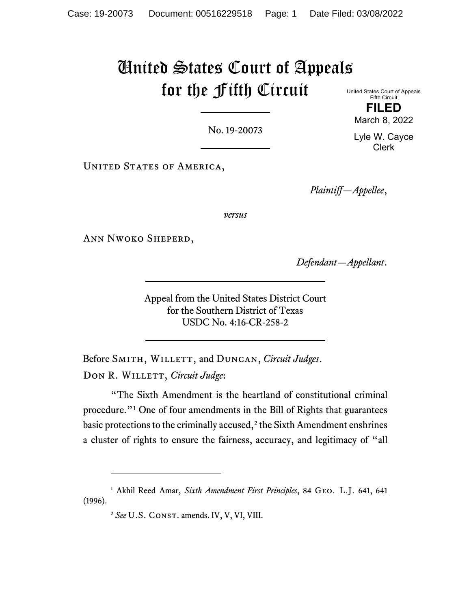# United States Court of Appeals for the Fifth Circuit

No. 19-20073

UNITED STATES OF AMERICA,

*Plaintiff—Appellee*,

*versus*

Ann Nwoko Sheperd,

*Defendant—Appellant*.

Appeal from the United States District Court for the Southern District of Texas USDC No. 4:16-CR-258-2

Before SMITH, WILLETT, and DUNCAN, *Circuit Judges*. DON R. WILLETT, *Circuit Judge*:

"The Sixth Amendment is the heartland of constitutional criminal procedure."[1](#page-0-0) One of four amendments in the Bill of Rights that guarantees basic protections to the criminally accused, $2$  the Sixth Amendment enshrines a cluster of rights to ensure the fairness, accuracy, and legitimacy of "all

<span id="page-0-1"></span><span id="page-0-0"></span><sup>1</sup> Akhil Reed Amar, *Sixth Amendment First Principles*, 84 Geo. L.J. 641, 641 (1996).

United States Court of Appeals Fifth Circuit **FILED**

March 8, 2022

Lyle W. Cayce Clerk

<sup>&</sup>lt;sup>2</sup> See U.S. CONST. amends. IV, V, VI, VIII.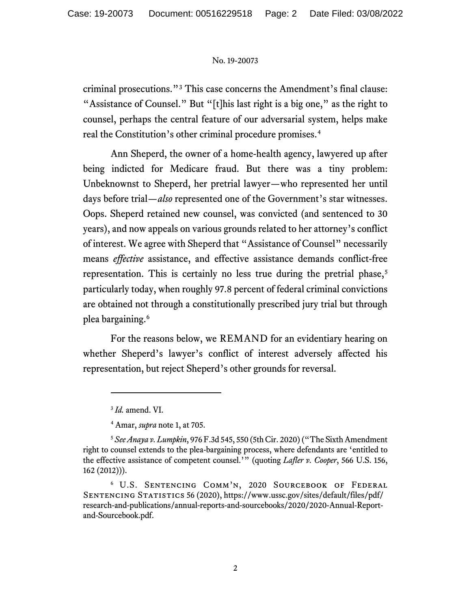criminal prosecutions."[3](#page-1-0) This case concerns the Amendment's final clause: "Assistance of Counsel." But "[t]his last right is a big one," as the right to counsel, perhaps the central feature of our adversarial system, helps make real the Constitution's other criminal procedure promises.[4](#page-1-1)

Ann Sheperd, the owner of a home-health agency, lawyered up after being indicted for Medicare fraud. But there was a tiny problem: Unbeknownst to Sheperd, her pretrial lawyer—who represented her until days before trial—*also* represented one of the Government's star witnesses. Oops. Sheperd retained new counsel, was convicted (and sentenced to 30 years), and now appeals on various grounds related to her attorney's conflict of interest. We agree with Sheperd that "Assistance of Counsel" necessarily means *effective* assistance, and effective assistance demands conflict-free representation. This is certainly no less true during the pretrial phase,<sup>[5](#page-1-2)</sup> particularly today, when roughly 97.8 percent of federal criminal convictions are obtained not through a constitutionally prescribed jury trial but through plea bargaining. [6](#page-1-3)

For the reasons below, we REMAND for an evidentiary hearing on whether Sheperd's lawyer's conflict of interest adversely affected his representation, but reject Sheperd's other grounds for reversal.

<sup>3</sup> *Id.* amend. VI.

<sup>4</sup> Amar, *supra* note 1, at 705.

<span id="page-1-2"></span><span id="page-1-1"></span><span id="page-1-0"></span><sup>5</sup> *See Anaya v. Lumpkin*, 976 F.3d 545, 550 (5th Cir. 2020) ("The Sixth Amendment right to counsel extends to the plea-bargaining process, where defendants are 'entitled to the effective assistance of competent counsel.'" (quoting *Lafler v. Cooper*, 566 U.S. 156, 162 (2012))).

<span id="page-1-3"></span><sup>6</sup> U.S. Sentencing Comm'n, 2020 Sourcebook of Federal Sentencing Statistics 56 (2020), https://www.ussc.gov/sites/default/files/pdf/ research-and-publications/annual-reports-and-sourcebooks/2020/2020-Annual-Reportand-Sourcebook.pdf.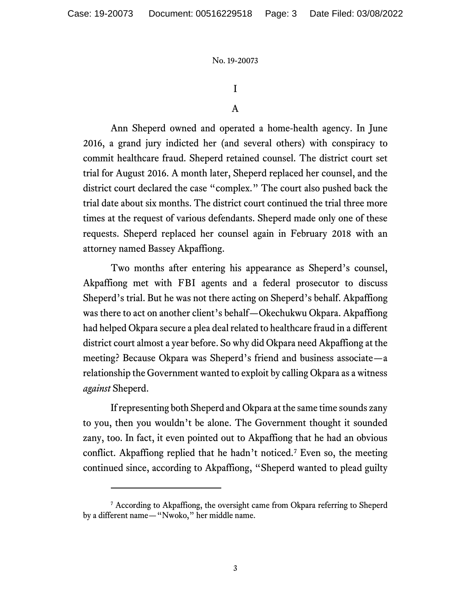# I

## A

Ann Sheperd owned and operated a home-health agency. In June 2016, a grand jury indicted her (and several others) with conspiracy to commit healthcare fraud. Sheperd retained counsel. The district court set trial for August 2016. A month later, Sheperd replaced her counsel, and the district court declared the case "complex." The court also pushed back the trial date about six months. The district court continued the trial three more times at the request of various defendants. Sheperd made only one of these requests. Sheperd replaced her counsel again in February 2018 with an attorney named Bassey Akpaffiong.

Two months after entering his appearance as Sheperd's counsel, Akpaffiong met with FBI agents and a federal prosecutor to discuss Sheperd's trial. But he was not there acting on Sheperd's behalf. Akpaffiong was there to act on another client's behalf—Okechukwu Okpara. Akpaffiong had helped Okpara secure a plea deal related to healthcare fraud in a different district court almost a year before. So why did Okpara need Akpaffiong at the meeting? Because Okpara was Sheperd's friend and business associate—a relationship the Government wanted to exploit by calling Okpara as a witness *against* Sheperd.

If representing both Sheperd and Okpara at the same time sounds zany to you, then you wouldn't be alone. The Government thought it sounded zany, too. In fact, it even pointed out to Akpaffiong that he had an obvious conflict. Akpaffiong replied that he hadn't noticed.<sup>[7](#page-2-0)</sup> Even so, the meeting continued since, according to Akpaffiong, "Sheperd wanted to plead guilty

<span id="page-2-0"></span><sup>&</sup>lt;sup>7</sup> According to Akpaffiong, the oversight came from Okpara referring to Sheperd by a different name—"Nwoko," her middle name.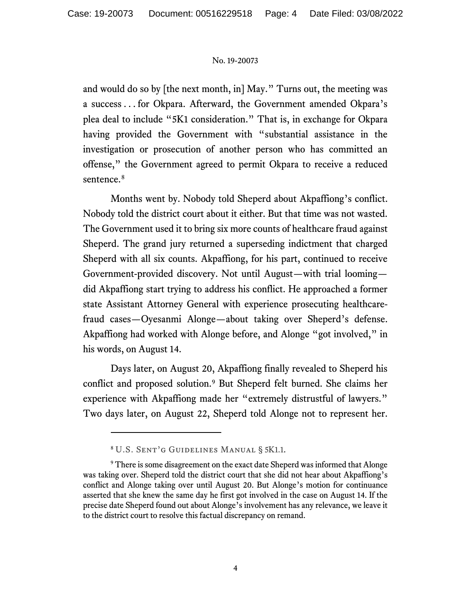and would do so by [the next month, in] May." Turns out, the meeting was a success . . . for Okpara. Afterward, the Government amended Okpara's plea deal to include "5K1 consideration." That is, in exchange for Okpara having provided the Government with "substantial assistance in the investigation or prosecution of another person who has committed an offense," the Government agreed to permit Okpara to receive a reduced sentence.<sup>[8](#page-3-0)</sup>

Months went by. Nobody told Sheperd about Akpaffiong's conflict. Nobody told the district court about it either. But that time was not wasted. The Government used it to bring six more counts of healthcare fraud against Sheperd. The grand jury returned a superseding indictment that charged Sheperd with all six counts. Akpaffiong, for his part, continued to receive Government-provided discovery. Not until August—with trial looming did Akpaffiong start trying to address his conflict. He approached a former state Assistant Attorney General with experience prosecuting healthcarefraud cases—Oyesanmi Alonge—about taking over Sheperd's defense. Akpaffiong had worked with Alonge before, and Alonge "got involved," in his words, on August 14.

Days later, on August 20, Akpaffiong finally revealed to Sheperd his conflict and proposed solution.[9](#page-3-1) But Sheperd felt burned. She claims her experience with Akpaffiong made her "extremely distrustful of lawyers." Two days later, on August 22, Sheperd told Alonge not to represent her.

<sup>8</sup> U.S. Sent'g Guidelines Manual § 5K1.1.

<span id="page-3-1"></span><span id="page-3-0"></span><sup>&</sup>lt;sup>9</sup> There is some disagreement on the exact date Sheperd was informed that Alonge was taking over. Sheperd told the district court that she did not hear about Akpaffiong's conflict and Alonge taking over until August 20. But Alonge's motion for continuance asserted that she knew the same day he first got involved in the case on August 14. If the precise date Sheperd found out about Alonge's involvement has any relevance, we leave it to the district court to resolve this factual discrepancy on remand.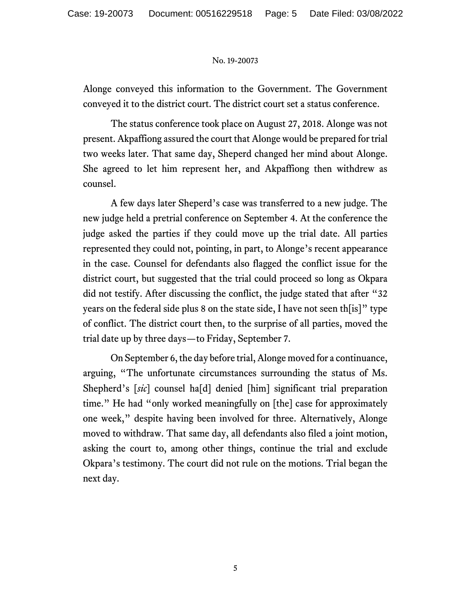Alonge conveyed this information to the Government. The Government conveyed it to the district court. The district court set a status conference.

The status conference took place on August 27, 2018. Alonge was not present. Akpaffiong assured the court that Alonge would be prepared for trial two weeks later. That same day, Sheperd changed her mind about Alonge. She agreed to let him represent her, and Akpaffiong then withdrew as counsel.

A few days later Sheperd's case was transferred to a new judge. The new judge held a pretrial conference on September 4. At the conference the judge asked the parties if they could move up the trial date. All parties represented they could not, pointing, in part, to Alonge's recent appearance in the case. Counsel for defendants also flagged the conflict issue for the district court, but suggested that the trial could proceed so long as Okpara did not testify. After discussing the conflict, the judge stated that after "32 years on the federal side plus 8 on the state side, I have not seen th[is]" type of conflict. The district court then, to the surprise of all parties, moved the trial date up by three days—to Friday, September 7.

On September 6, the day before trial, Alonge moved for a continuance, arguing, "The unfortunate circumstances surrounding the status of Ms. Shepherd's [*sic*] counsel ha[d] denied [him] significant trial preparation time." He had "only worked meaningfully on [the] case for approximately one week," despite having been involved for three. Alternatively, Alonge moved to withdraw. That same day, all defendants also filed a joint motion, asking the court to, among other things, continue the trial and exclude Okpara's testimony. The court did not rule on the motions. Trial began the next day.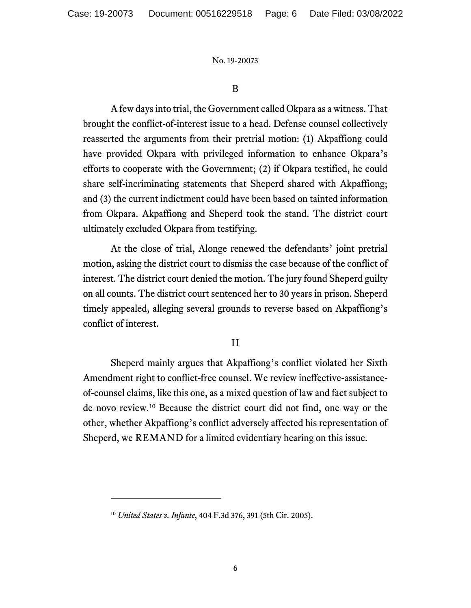## B

A few days into trial, the Government called Okpara as a witness. That brought the conflict-of-interest issue to a head. Defense counsel collectively reasserted the arguments from their pretrial motion: (1) Akpaffiong could have provided Okpara with privileged information to enhance Okpara's efforts to cooperate with the Government; (2) if Okpara testified, he could share self-incriminating statements that Sheperd shared with Akpaffiong; and (3) the current indictment could have been based on tainted information from Okpara. Akpaffiong and Sheperd took the stand. The district court ultimately excluded Okpara from testifying.

At the close of trial, Alonge renewed the defendants' joint pretrial motion, asking the district court to dismiss the case because of the conflict of interest. The district court denied the motion. The jury found Sheperd guilty on all counts. The district court sentenced her to 30 years in prison. Sheperd timely appealed, alleging several grounds to reverse based on Akpaffiong's conflict of interest.

## II

Sheperd mainly argues that Akpaffiong's conflict violated her Sixth Amendment right to conflict-free counsel. We review ineffective-assistanceof-counsel claims, like this one, as a mixed question of law and fact subject to de novo review.[10](#page-5-0) Because the district court did not find, one way or the other, whether Akpaffiong's conflict adversely affected his representation of Sheperd, we REMAND for a limited evidentiary hearing on this issue.

<span id="page-5-0"></span><sup>10</sup> *United States v. Infante*, 404 F.3d 376, 391 (5th Cir. 2005).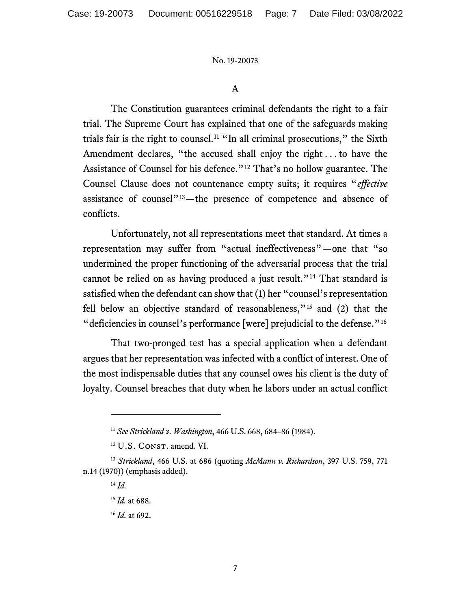A

The Constitution guarantees criminal defendants the right to a fair trial. The Supreme Court has explained that one of the safeguards making trials fair is the right to counsel.<sup>[11](#page-6-0)</sup> "In all criminal prosecutions," the Sixth Amendment declares, "the accused shall enjoy the right . . . to have the Assistance of Counsel for his defence."<sup>[12](#page-6-1)</sup> That's no hollow guarantee. The Counsel Clause does not countenance empty suits; it requires "*effective* assistance of counsel"[13—](#page-6-2)the presence of competence and absence of conflicts.

Unfortunately, not all representations meet that standard. At times a representation may suffer from "actual ineffectiveness"—one that "so undermined the proper functioning of the adversarial process that the trial cannot be relied on as having produced a just result."<sup>[14](#page-6-3)</sup> That standard is satisfied when the defendant can show that (1) her "counsel's representation fell below an objective standard of reasonableness,"[15](#page-6-4) and (2) that the "deficiencies in counsel's performance [were] prejudicial to the defense."<sup>[16](#page-6-5)</sup>

That two-pronged test has a special application when a defendant argues that her representation was infected with a conflict of interest. One of the most indispensable duties that any counsel owes his client is the duty of loyalty. Counsel breaches that duty when he labors under an actual conflict

<sup>11</sup> *See Strickland v. Washington*, 466 U.S. 668, 684–86 (1984).

<sup>&</sup>lt;sup>12</sup> U.S. CONST. amend. VI.

<span id="page-6-5"></span><span id="page-6-4"></span><span id="page-6-3"></span><span id="page-6-2"></span><span id="page-6-1"></span><span id="page-6-0"></span><sup>13</sup> *Strickland*, 466 U.S. at 686 (quoting *McMann v. Richardson*, 397 U.S. 759, 771 n.14 (1970)) (emphasis added).

<sup>14</sup> *Id.*

<sup>15</sup> *Id.* at 688.

<sup>16</sup> *Id.* at 692.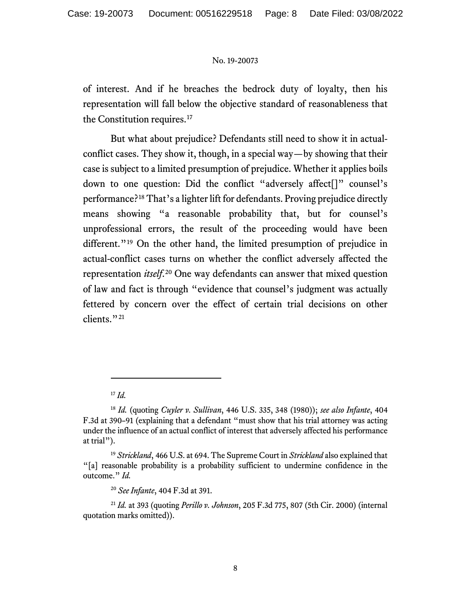of interest. And if he breaches the bedrock duty of loyalty, then his representation will fall below the objective standard of reasonableness that the Constitution requires.<sup>[17](#page-7-0)</sup>

But what about prejudice? Defendants still need to show it in actualconflict cases. They show it, though, in a special way—by showing that their case is subject to a limited presumption of prejudice. Whether it applies boils down to one question: Did the conflict "adversely affect[]" counsel's performance?[18](#page-7-1) That's a lighter lift for defendants. Proving prejudice directly means showing "a reasonable probability that, but for counsel's unprofessional errors, the result of the proceeding would have been different."<sup>[19](#page-7-2)</sup> On the other hand, the limited presumption of prejudice in actual-conflict cases turns on whether the conflict adversely affected the representation *itself*. [20](#page-7-3) One way defendants can answer that mixed question of law and fact is through "evidence that counsel's judgment was actually fettered by concern over the effect of certain trial decisions on other clients."<sup>[21](#page-7-4)</sup>

<sup>17</sup> *Id.*

<span id="page-7-1"></span><span id="page-7-0"></span><sup>18</sup> *Id.* (quoting *Cuyler v. Sullivan*, 446 U.S. 335, 348 (1980)); *see also Infante*, 404 F.3d at 390–91 (explaining that a defendant "must show that his trial attorney was acting under the influence of an actual conflict of interest that adversely affected his performance at trial").

<span id="page-7-2"></span><sup>19</sup> *Strickland*, 466 U.S. at 694. The Supreme Court in *Strickland* also explained that "[a] reasonable probability is a probability sufficient to undermine confidence in the outcome." *Id.*

<sup>20</sup> *See Infante*, 404 F.3d at 391.

<span id="page-7-4"></span><span id="page-7-3"></span><sup>21</sup> *Id.* at 393 (quoting *Perillo v. Johnson*, 205 F.3d 775, 807 (5th Cir. 2000) (internal quotation marks omitted)).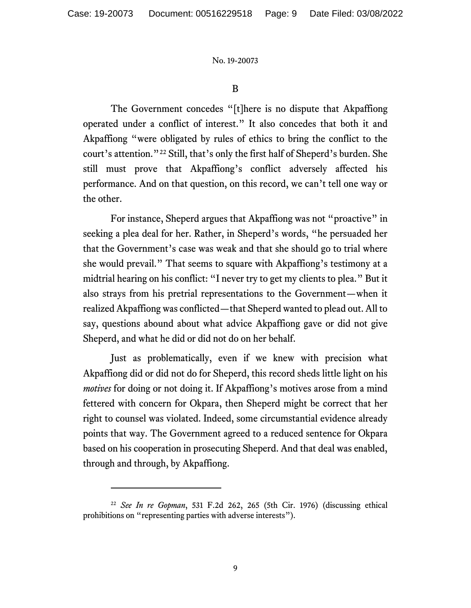## B

The Government concedes "[t]here is no dispute that Akpaffiong operated under a conflict of interest." It also concedes that both it and Akpaffiong "were obligated by rules of ethics to bring the conflict to the court's attention."[22](#page-8-0) Still, that's only the first half of Sheperd's burden. She still must prove that Akpaffiong's conflict adversely affected his performance. And on that question, on this record, we can't tell one way or the other.

For instance, Sheperd argues that Akpaffiong was not "proactive" in seeking a plea deal for her. Rather, in Sheperd's words, "he persuaded her that the Government's case was weak and that she should go to trial where she would prevail." That seems to square with Akpaffiong's testimony at a midtrial hearing on his conflict: "I never try to get my clients to plea." But it also strays from his pretrial representations to the Government—when it realized Akpaffiong was conflicted—that Sheperd wanted to plead out. All to say, questions abound about what advice Akpaffiong gave or did not give Sheperd, and what he did or did not do on her behalf.

Just as problematically, even if we knew with precision what Akpaffiong did or did not do for Sheperd, this record sheds little light on his *motives* for doing or not doing it. If Akpaffiong's motives arose from a mind fettered with concern for Okpara, then Sheperd might be correct that her right to counsel was violated. Indeed, some circumstantial evidence already points that way. The Government agreed to a reduced sentence for Okpara based on his cooperation in prosecuting Sheperd. And that deal was enabled, through and through, by Akpaffiong.

<span id="page-8-0"></span><sup>22</sup> *See In re Gopman*, 531 F.2d 262, 265 (5th Cir. 1976) (discussing ethical prohibitions on "representing parties with adverse interests").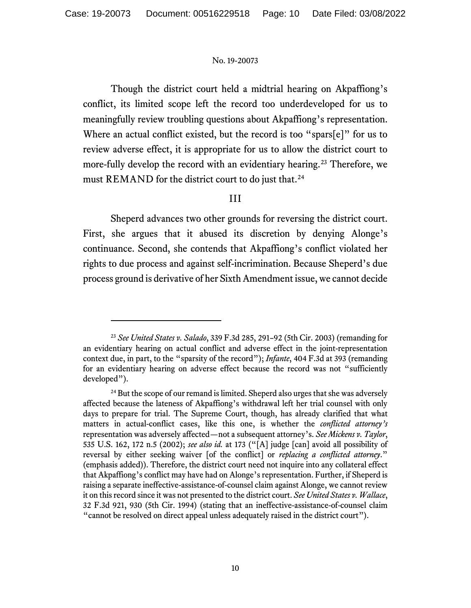Though the district court held a midtrial hearing on Akpaffiong's conflict, its limited scope left the record too underdeveloped for us to meaningfully review troubling questions about Akpaffiong's representation. Where an actual conflict existed, but the record is too "spars[e]" for us to review adverse effect, it is appropriate for us to allow the district court to more-fully develop the record with an evidentiary hearing.<sup>[23](#page-9-0)</sup> Therefore, we must REMAND for the district court to do just that.<sup>[24](#page-9-1)</sup>

## III

Sheperd advances two other grounds for reversing the district court. First, she argues that it abused its discretion by denying Alonge's continuance. Second, she contends that Akpaffiong's conflict violated her rights to due process and against self-incrimination. Because Sheperd's due process ground is derivative of her Sixth Amendment issue, we cannot decide

<span id="page-9-0"></span><sup>23</sup> *See United States v. Salado*, 339 F.3d 285, 291–92 (5th Cir. 2003) (remanding for an evidentiary hearing on actual conflict and adverse effect in the joint-representation context due, in part, to the "sparsity of the record"); *Infante*, 404 F.3d at 393 (remanding for an evidentiary hearing on adverse effect because the record was not "sufficiently developed").

<span id="page-9-1"></span><sup>&</sup>lt;sup>24</sup> But the scope of our remand is limited. Sheperd also urges that she was adversely affected because the lateness of Akpaffiong's withdrawal left her trial counsel with only days to prepare for trial. The Supreme Court, though, has already clarified that what matters in actual-conflict cases, like this one, is whether the *conflicted attorney's* representation was adversely affected—not a subsequent attorney's. *See Mickens v. Taylor*, 535 U.S. 162, 172 n.5 (2002); *see also id.* at 173 ("[A] judge [can] avoid all possibility of reversal by either seeking waiver [of the conflict] or *replacing a conflicted attorney*." (emphasis added)). Therefore, the district court need not inquire into any collateral effect that Akpaffiong's conflict may have had on Alonge's representation. Further, if Sheperd is raising a separate ineffective-assistance-of-counsel claim against Alonge, we cannot review it on this record since it was not presented to the district court. *See United States v. Wallace*, 32 F.3d 921, 930 (5th Cir. 1994) (stating that an ineffective-assistance-of-counsel claim "cannot be resolved on direct appeal unless adequately raised in the district court").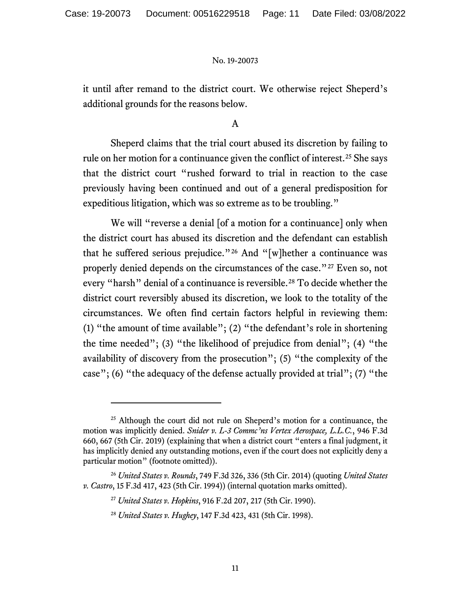it until after remand to the district court. We otherwise reject Sheperd's additional grounds for the reasons below.

## A

Sheperd claims that the trial court abused its discretion by failing to rule on her motion for a continuance given the conflict of interest.<sup>[25](#page-10-0)</sup> She says that the district court "rushed forward to trial in reaction to the case previously having been continued and out of a general predisposition for expeditious litigation, which was so extreme as to be troubling."

We will "reverse a denial [of a motion for a continuance] only when the district court has abused its discretion and the defendant can establish that he suffered serious prejudice."[26](#page-10-1) And "[w]hether a continuance was properly denied depends on the circumstances of the case."<sup>[27](#page-10-2)</sup> Even so, not every "harsh" denial of a continuance is reversible.<sup>[28](#page-10-3)</sup> To decide whether the district court reversibly abused its discretion, we look to the totality of the circumstances. We often find certain factors helpful in reviewing them: (1) "the amount of time available"; (2) "the defendant's role in shortening the time needed"; (3) "the likelihood of prejudice from denial"; (4) "the availability of discovery from the prosecution"; (5) "the complexity of the case"; (6) "the adequacy of the defense actually provided at trial"; (7) "the

<span id="page-10-0"></span><sup>&</sup>lt;sup>25</sup> Although the court did not rule on Sheperd's motion for a continuance, the motion was implicitly denied. *Snider v. L-3 Commc'ns Vertex Aerospace, L.L.C.*, 946 F.3d 660, 667 (5th Cir. 2019) (explaining that when a district court "enters a final judgment, it has implicitly denied any outstanding motions, even if the court does not explicitly deny a particular motion" (footnote omitted)).

<span id="page-10-3"></span><span id="page-10-2"></span><span id="page-10-1"></span><sup>26</sup> *United States v. Rounds*, 749 F.3d 326, 336 (5th Cir. 2014) (quoting *United States v. Castro*, 15 F.3d 417, 423 (5th Cir. 1994)) (internal quotation marks omitted).

<sup>27</sup> *United States v. Hopkins*, 916 F.2d 207, 217 (5th Cir. 1990).

<sup>28</sup> *United States v. Hughey*, 147 F.3d 423, 431 (5th Cir. 1998).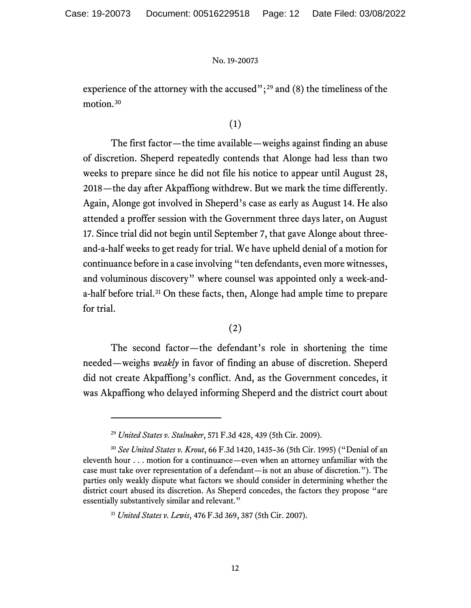experience of the attorney with the accused";<sup>[29](#page-11-0)</sup> and (8) the timeliness of the motion.<sup>[30](#page-11-1)</sup>

# (1)

The first factor—the time available—weighs against finding an abuse of discretion. Sheperd repeatedly contends that Alonge had less than two weeks to prepare since he did not file his notice to appear until August 28, 2018—the day after Akpaffiong withdrew. But we mark the time differently. Again, Alonge got involved in Sheperd's case as early as August 14. He also attended a proffer session with the Government three days later, on August 17. Since trial did not begin until September 7, that gave Alonge about threeand-a-half weeks to get ready for trial. We have upheld denial of a motion for continuance before in a case involving "ten defendants, even more witnesses, and voluminous discovery" where counsel was appointed only a week-anda-half before trial.[31](#page-11-2) On these facts, then, Alonge had ample time to prepare for trial.

## (2)

The second factor—the defendant's role in shortening the time needed—weighs *weakly* in favor of finding an abuse of discretion. Sheperd did not create Akpaffiong's conflict. And, as the Government concedes, it was Akpaffiong who delayed informing Sheperd and the district court about

<sup>29</sup> *United States v. Stalnaker*, 571 F.3d 428, 439 (5th Cir. 2009).

<span id="page-11-2"></span><span id="page-11-1"></span><span id="page-11-0"></span><sup>30</sup> *See United States v. Krout*, 66 F.3d 1420, 1435–36 (5th Cir. 1995) ("Denial of an eleventh hour . . . motion for a continuance—even when an attorney unfamiliar with the case must take over representation of a defendant—is not an abuse of discretion."). The parties only weakly dispute what factors we should consider in determining whether the district court abused its discretion. As Sheperd concedes, the factors they propose "are essentially substantively similar and relevant."

<sup>31</sup> *United States v. Lewis*, 476 F.3d 369, 387 (5th Cir. 2007).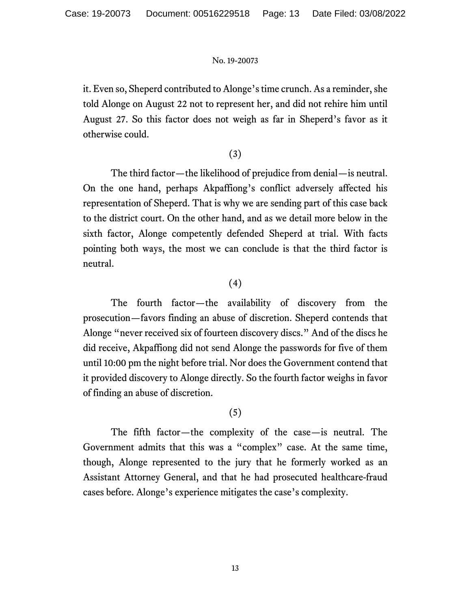it. Even so, Sheperd contributed to Alonge's time crunch. As a reminder, she told Alonge on August 22 not to represent her, and did not rehire him until August 27. So this factor does not weigh as far in Sheperd's favor as it otherwise could.

# (3)

The third factor—the likelihood of prejudice from denial—is neutral. On the one hand, perhaps Akpaffiong's conflict adversely affected his representation of Sheperd. That is why we are sending part of this case back to the district court. On the other hand, and as we detail more below in the sixth factor, Alonge competently defended Sheperd at trial. With facts pointing both ways, the most we can conclude is that the third factor is neutral.

# (4)

The fourth factor—the availability of discovery from the prosecution—favors finding an abuse of discretion. Sheperd contends that Alonge "never received six of fourteen discovery discs." And of the discs he did receive, Akpaffiong did not send Alonge the passwords for five of them until 10:00 pm the night before trial. Nor does the Government contend that it provided discovery to Alonge directly. So the fourth factor weighs in favor of finding an abuse of discretion.

# (5)

The fifth factor—the complexity of the case—is neutral. The Government admits that this was a "complex" case. At the same time, though, Alonge represented to the jury that he formerly worked as an Assistant Attorney General, and that he had prosecuted healthcare-fraud cases before. Alonge's experience mitigates the case's complexity.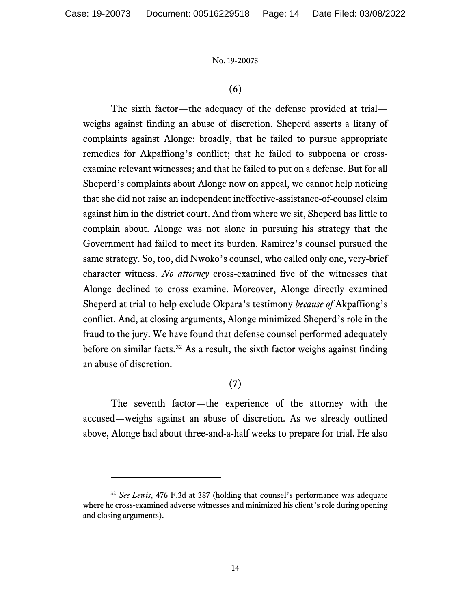## (6)

The sixth factor—the adequacy of the defense provided at trial weighs against finding an abuse of discretion. Sheperd asserts a litany of complaints against Alonge: broadly, that he failed to pursue appropriate remedies for Akpaffiong's conflict; that he failed to subpoena or crossexamine relevant witnesses; and that he failed to put on a defense. But for all Sheperd's complaints about Alonge now on appeal, we cannot help noticing that she did not raise an independent ineffective-assistance-of-counsel claim against him in the district court. And from where we sit, Sheperd has little to complain about. Alonge was not alone in pursuing his strategy that the Government had failed to meet its burden. Ramirez's counsel pursued the same strategy. So, too, did Nwoko's counsel, who called only one, very-brief character witness. *No attorney* cross-examined five of the witnesses that Alonge declined to cross examine. Moreover, Alonge directly examined Sheperd at trial to help exclude Okpara's testimony *because of* Akpaffiong's conflict. And, at closing arguments, Alonge minimized Sheperd's role in the fraud to the jury. We have found that defense counsel performed adequately before on similar facts.<sup>[32](#page-13-0)</sup> As a result, the sixth factor weighs against finding an abuse of discretion.

# (7)

The seventh factor—the experience of the attorney with the accused—weighs against an abuse of discretion. As we already outlined above, Alonge had about three-and-a-half weeks to prepare for trial. He also

<span id="page-13-0"></span><sup>&</sup>lt;sup>32</sup> See Lewis, 476 F.3d at 387 (holding that counsel's performance was adequate where he cross-examined adverse witnesses and minimized his client's role during opening and closing arguments).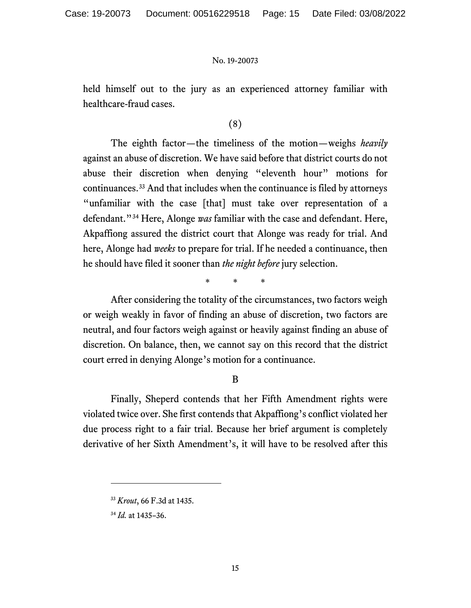held himself out to the jury as an experienced attorney familiar with healthcare-fraud cases.

# (8)

The eighth factor—the timeliness of the motion—weighs *heavily* against an abuse of discretion. We have said before that district courts do not abuse their discretion when denying "eleventh hour" motions for continuances.[33](#page-14-0) And that includes when the continuance is filed by attorneys "unfamiliar with the case [that] must take over representation of a defendant."[34](#page-14-1) Here, Alonge *was* familiar with the case and defendant. Here, Akpaffiong assured the district court that Alonge was ready for trial. And here, Alonge had *weeks* to prepare for trial. If he needed a continuance, then he should have filed it sooner than *the night before* jury selection.

\* \* \*

After considering the totality of the circumstances, two factors weigh or weigh weakly in favor of finding an abuse of discretion, two factors are neutral, and four factors weigh against or heavily against finding an abuse of discretion. On balance, then, we cannot say on this record that the district court erred in denying Alonge's motion for a continuance.

## B

Finally, Sheperd contends that her Fifth Amendment rights were violated twice over. She first contends that Akpaffiong's conflict violated her due process right to a fair trial. Because her brief argument is completely derivative of her Sixth Amendment's, it will have to be resolved after this

<span id="page-14-0"></span><sup>33</sup> *Krout*, 66 F.3d at 1435.

<span id="page-14-1"></span><sup>34</sup> *Id.* at 1435–36.